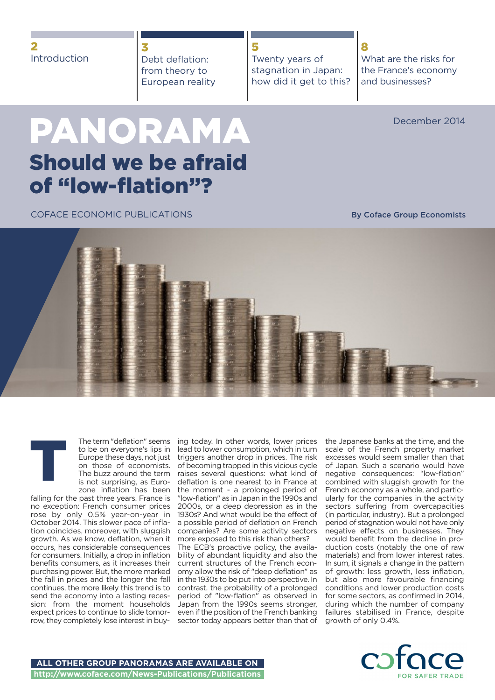## **3** Debt deflation: from theory to European reality

**PANORAMA** December 2014

**8**

# **Should we be afraid of "low-flation"?**

COFACE ECONOMIC PUBLICATIONS

**By Coface Group Economists**

What are the risks for the France's economy

and businesses?

the Japanese banks at the time, and the scale of the French property market excesses would seem smaller than that of Japan. Such a scenario would have negative consequences: "low-flation" combined with sluggish growth for the French economy as a whole, and particularly for the companies in the activity sectors suffering from overcapacities (in particular, industry). But a prolonged period of stagnation would not have only negative effects on businesses. They would benefit from the decline in production costs (notably the one of raw materials) and from lower interest rates. In sum, it signals a change in the pattern of growth: less growth, less inflation, but also more favourable financing conditions and lower production costs for some sectors, as confirmed in 2014, during which the number of company failures stabilised in France, despite growth of only 0.4%.

The term "deflation" seems to be on everyone's lips in Europe these days, not just on those of economists. The buzz around the term is not surprising, as Eurozone inflation has been

falling for the past three years. France is no exception: French consumer prices rose by only 0.5% year-on-year in October 2014. This slower pace of inflation coincides, moreover, with sluggish growth. As we know, deflation, when it occurs, has considerable consequences for consumers. Initially, a drop in inflation benefits consumers, as it increases their purchasing power. But, the more marked the fall in prices and the longer the fall continues, the more likely this trend is to send the economy into a lasting recession: from the moment households expect prices to continue to slide tomorrow, they completely lose interest in buy-

**T**

ing today. In other words, lower prices lead to lower consumption, which in turn triggers another drop in prices. The risk of becoming trapped in this vicious cycle raises several questions: what kind of deflation is one nearest to in France at the moment - a prolonged period of "low-flation" as in Japan in the 1990s and 2000s, or a deep depression as in the 1930s? And what would be the effect of a possible period of deflation on French companies? Are some activity sectors more exposed to this risk than others?

The ECB's proactive policy, the availability of abundant liquidity and also the current structures of the French economy allow the risk of "deep deflation" as in the 1930s to be put into perspective. In contrast, the probability of a prolonged period of "low-flation" as observed in Japan from the 1990s seems stronger, even if the position of the French banking sector today appears better than that of





**5**

Twenty years of stagnation in Japan: how did it get to this?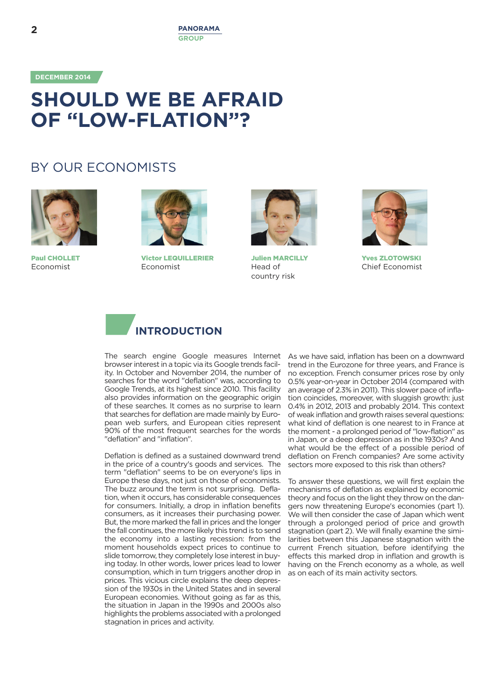**DECEMBER 2014**

# **SHOULD WE BE AFRAID OF "LOW-FLATION"?**

## BY OUR ECONOMISTS



**Paul CHOLLET** Economist



**Victor LEQUILLERIER** Economist



**Julien MARCILLY** Head of country risk



**Yves ZLOTOWSKI** Chief Economist

## **INTRODUCTION 1**

The search engine Google measures Internet browser interest in a topic via its Google trends facility. In October and November 2014, the number of searches for the word "deflation" was, according to Google Trends, at its highest since 2010. This facility also provides information on the geographic origin of these searches. It comes as no surprise to learn that searches for deflation are made mainly by European web surfers, and European cities represent 90% of the most frequent searches for the words "deflation" and "inflation".

Deflation is defined as a sustained downward trend in the price of a country's goods and services. The term "deflation" seems to be on everyone's lips in Europe these days, not just on those of economists. The buzz around the term is not surprising. Deflation, when it occurs, has considerable consequences for consumers. Initially, a drop in inflation benefits consumers, as it increases their purchasing power. But, the more marked the fall in prices and the longer the fall continues, the more likely this trend is to send the economy into a lasting recession: from the moment households expect prices to continue to slide tomorrow, they completely lose interest in buying today. In other words, lower prices lead to lower consumption, which in turn triggers another drop in prices. This vicious circle explains the deep depression of the 1930s in the United States and in several European economies. Without going as far as this, the situation in Japan in the 1990s and 2000s also highlights the problems associated with a prolonged stagnation in prices and activity.

As we have said, inflation has been on a downward trend in the Eurozone for three years, and France is no exception. French consumer prices rose by only 0.5% year-on-year in October 2014 (compared with an average of 2.3% in 2011). This slower pace of inflation coincides, moreover, with sluggish growth: just 0.4% in 2012, 2013 and probably 2014. This context of weak inflation and growth raises several questions: what kind of deflation is one nearest to in France at the moment - a prolonged period of "low-flation" as in Japan, or a deep depression as in the 1930s? And what would be the effect of a possible period of deflation on French companies? Are some activity sectors more exposed to this risk than others?

To answer these questions, we will first explain the mechanisms of deflation as explained by economic theory and focus on the light they throw on the dangers now threatening Europe's economies (part 1). We will then consider the case of Japan which went through a prolonged period of price and growth stagnation (part 2). We will finally examine the similarities between this Japanese stagnation with the current French situation, before identifying the effects this marked drop in inflation and growth is having on the French economy as a whole, as well as on each of its main activity sectors.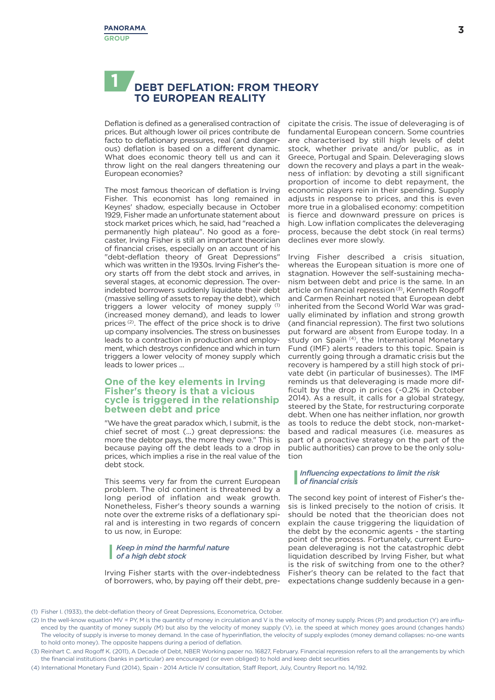## **DEBT DEFLATION: FROM THEORY TO EUROPEAN REALITY 1**

Deflation is defined as a generalised contraction of prices. But although lower oil prices contribute de facto to deflationary pressures, real (and dangerous) deflation is based on a different dynamic. What does economic theory tell us and can it throw light on the real dangers threatening our European economies?

The most famous theorican of deflation is Irving Fisher. This economist has long remained in Keynes' shadow, especially because in October 1929, Fisher made an unfortunate statement about stock market prices which, he said, had "reached a permanently high plateau". No good as a forecaster, Irving Fisher is still an important theorician of financial crises, especially on an account of his "debt-deflation theory of Great Depressions" which was written in the 1930s. Irving Fisher's theory starts off from the debt stock and arrives, in several stages, at economic depression. The overindebted borrowers suddenly liquidate their debt (massive selling of assets to repay the debt), which triggers a lower velocity of money supply (1) (increased money demand), and leads to lower prices (2) . The effect of the price shock is to drive up company insolvencies. The stress on businesses leads to a contraction in production and employment, which destroys confidence and which in turn triggers a lower velocity of money supply which leads to lower prices …

## **One of the key elements in Irving One of the key elements in Irving Fisher's theory is that a vicious Fisher's theory is that a vicious cycle is triggered in the relationship between debt and price cycle is triggered in the relationship between debt and price**

"We have the great paradox which, I submit, is the chief secret of most (...) great depressions: the more the debtor pays, the more they owe." This is because paying off the debt leads to a drop in prices, which implies a rise in the real value of the debt stock.

This seems very far from the current European problem. The old continent is threatened by a long period of inflation and weak growth. Nonetheless, Fisher's theory sounds a warning note over the extreme risks of a deflationary spiral and is interesting in two regards of concern to us now, in Europe:

## *Keep in mind the harmful nature of a high debt stock*

Irving Fisher starts with the over-indebtedness of borrowers, who, by paying off their debt, precipitate the crisis. The issue of deleveraging is of fundamental European concern. Some countries are characterised by still high levels of debt stock, whether private and/or public, as in Greece, Portugal and Spain. Deleveraging slows down the recovery and plays a part in the weakness of inflation: by devoting a still significant proportion of income to debt repayment, the economic players rein in their spending. Supply adjusts in response to prices, and this is even more true in a globalised economy: competition is fierce and downward pressure on prices is high. Low inflation complicates the deleveraging process, because the debt stock (in real terms) declines ever more slowly.

Irving Fisher described a crisis situation, whereas the European situation is more one of stagnation. However the self-sustaining mechanism between debt and price is the same. In an article on financial repression<sup>(3)</sup>, Kenneth Rogoff and Carmen Reinhart noted that European debt inherited from the Second World War was gradually eliminated by inflation and strong growth (and financial repression). The first two solutions put forward are absent from Europe today. In a study on Spain<sup>(4)</sup>, the International Monetary Fund (IMF) alerts readers to this topic. Spain is currently going through a dramatic crisis but the recovery is hampered by a still high stock of private debt (in particular of businesses). The IMF reminds us that deleveraging is made more difficult by the drop in prices (-0.2% in October 2014). As a result, it calls for a global strategy, steered by the State, for restructuring corporate debt. When one has neither inflation, nor growth as tools to reduce the debt stock, non-marketbased and radical measures (i.e. measures as part of a proactive strategy on the part of the public authorities) can prove to be the only solution

## *Influencing expectations to limit the risk of financial crisis*

The second key point of interest of Fisher's thesis is linked precisely to the notion of crisis. It should be noted that the theorician does not explain the cause triggering the liquidation of the debt by the economic agents - the starting point of the process. Fortunately, current European deleveraging is not the catastrophic debt liquidation described by Irving Fisher, but what is the risk of switching from one to the other? Fisher's theory can be related to the fact that expectations change suddenly because in a gen-

<sup>(1)</sup> Fisher I. (1933), the debt-deflation theory of Great Depressions, Econometrica, October.

<sup>(2)</sup> In the well-know equation MV = PY, M is the quantity of money in circulation and V is the velocity of money supply. Prices (P) and production (Y) are influenced by the quantity of money supply (M) but also by the velocity of money supply (V), i.e. the speed at which money goes around (changes hands) The velocity of supply is inverse to money demand. In the case of hyperinflation, the velocity of supply explodes (money demand collapses: no-one wants to hold onto money). The opposite happens during a period of deflation.

<sup>(3)</sup> Reinhart C. and Rogoff K. (2011), A Decade of Debt, NBER Working paper no. 16827, February. Financial repression refers to all the arrangements by which the financial institutions (banks in particular) are encouraged (or even obliged) to hold and keep debt securities

<sup>(4)</sup> International Monetary Fund (2014), Spain - 2014 Article IV consultation, Staff Report, July, Country Report no. 14/192.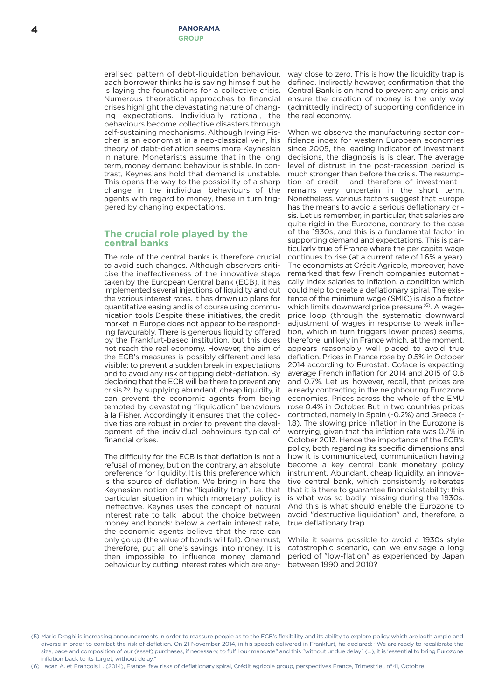eralised pattern of debt-liquidation behaviour, each borrower thinks he is saving himself but he is laying the foundations for a collective crisis. Numerous theoretical approaches to financial crises highlight the devastating nature of changing expectations. Individually rational, the behaviours become collective disasters through self-sustaining mechanisms. Although Irving Fischer is an economist in a neo-classical vein, his theory of debt-deflation seems more Keynesian in nature. Monetarists assume that in the long term, money demand behaviour is stable. In contrast, Keynesians hold that demand is unstable. This opens the way to the possibility of a sharp change in the individual behaviours of the agents with regard to money, these in turn triggered by changing expectations.

## **The crucial role played by the central banks**

The role of the central banks is therefore crucial to avoid such changes. Although observers criticise the ineffectiveness of the innovative steps taken by the European Central bank (ECB), it has implemented several injections of liquidity and cut the various interest rates. It has drawn up plans for quantitative easing and is of course using communication tools Despite these initiatives, the credit market in Europe does not appear to be responding favourably. There is generous liquidity offered by the Frankfurt-based institution, but this does not reach the real economy. However, the aim of the ECB's measures is possibly different and less visible: to prevent a sudden break in expectations and to avoid any risk of tipping debt-deflation. By declaring that the ECB will be there to prevent any crisis (5) , by supplying abundant, cheap liquidity, it can prevent the economic agents from being tempted by devastating "liquidation" behaviours à la Fisher. Accordingly it ensures that the collective ties are robust in order to prevent the development of the individual behaviours typical of financial crises.

The difficulty for the ECB is that deflation is not a refusal of money, but on the contrary, an absolute preference for liquidity. It is this preference which is the source of deflation. We bring in here the Keynesian notion of the "liquidity trap", i.e. that particular situation in which monetary policy is ineffective. Keynes uses the concept of natural interest rate to talk about the choice between money and bonds: below a certain interest rate, the economic agents believe that the rate can only go up (the value of bonds will fall). One must, therefore, put all one's savings into money. It is then impossible to influence money demand behaviour by cutting interest rates which are any-

way close to zero. This is how the liquidity trap is defined. Indirectly however, confirmation that the Central Bank is on hand to prevent any crisis and ensure the creation of money is the only way (admittedly indirect) of supporting confidence in the real economy.

When we observe the manufacturing sector confidence index for western European economies since 2005, the leading indicator of investment decisions, the diagnosis is is clear. The average level of distrust in the post-recession period is much stronger than before the crisis. The resumption of credit - and therefore of investment remains very uncertain in the short term. Nonetheless, various factors suggest that Europe has the means to avoid a serious deflationary crisis. Let us remember, in particular, that salaries are quite rigid in the Eurozone, contrary to the case of the 1930s, and this is a fundamental factor in supporting demand and expectations. This is particularly true of France where the per capita wage continues to rise (at a current rate of 1.6% a year). The economists at Crédit Agricole, moreover, have remarked that few French companies automatically index salaries to inflation, a condition which could help to create a deflationary spiral. The existence of the minimum wage (SMIC) is also a factor which limits downward price pressure<sup>(6)</sup>. A wageprice loop (through the systematic downward adjustment of wages in response to weak inflation, which in turn triggers lower prices) seems, therefore, unlikely in France which, at the moment, appears reasonably well placed to avoid true deflation. Prices in France rose by 0.5% in October 2014 according to Eurostat. Coface is expecting average French inflation for 2014 and 2015 of 0.6 and 0.7%. Let us, however, recall, that prices are already contracting in the neighbouring Eurozone economies. Prices across the whole of the EMU rose 0.4% in October. But in two countries prices contracted, namely in Spain (-0.2%) and Greece (- 1.8). The slowing price inflation in the Eurozone is worrying, given that the inflation rate was 0.7% in October 2013. Hence the importance of the ECB's policy, both regarding its specific dimensions and how it is communicated, communication having become a key central bank monetary policy instrument. Abundant, cheap liquidity, an innovative central bank, which consistently reiterates that it is there to guarantee financial stability: this is what was so badly missing during the 1930s. And this is what should enable the Eurozone to avoid "destructive liquidation" and, therefore, a true deflationary trap.

While it seems possible to avoid a 1930s style catastrophic scenario, can we envisage a long period of "low-flation" as experienced by Japan between 1990 and 2010?

(6) Lacan A. et François L. (2014), France: few risks of deflationary spiral, Crédit agricole group, perspectives France, Trimestriel, n°41, Octobre

<sup>(5)</sup> Mario Draghi is increasing announcements in order to reassure people as to the ECB's flexibility and its ability to explore policy which are both ample and diverse in order to combat the risk of deflation. On 21 November 2014, in his speech delivered in Frankfurt, he declared: "We are ready to recalibrate the size, pace and composition of our (asset) purchases, if necessary, to fulfil our mandate" and this "without undue delay" (...), it is 'essential to bring Eurozone inflation back to its target, without delay."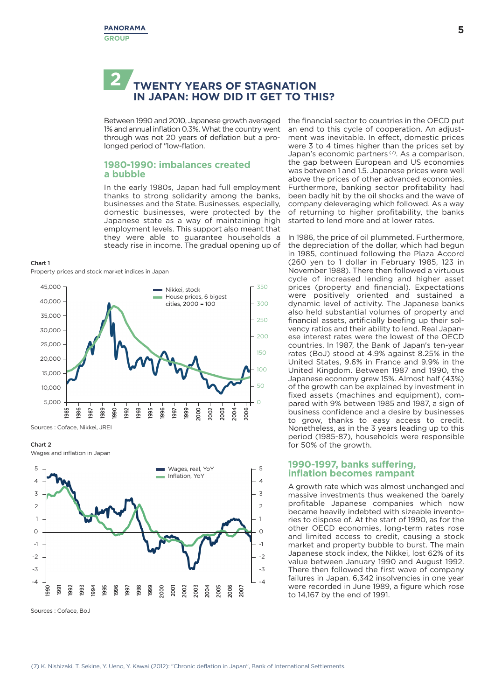## **TWENTY YEARS OF STAGNATION IN JAPAN: HOW DID IT GET TO THIS? 2**

1% and annual inflation 0.3%.What the country went through was not 20 years of deflation but a prolonged period of "low-flation.

## **1980-1990: imbalances created a bubble**

In the early 1980s, Japan had full employment thanks to strong solidarity among the banks, businesses and the State. Businesses, especially, domestic businesses, were protected by the Japanese state as a way of maintaining high employment levels. This support also meant that they were able to guarantee households a steady rise in income. The gradual opening up of

#### **Chart 1**

Property prices and stock market indices in Japan



Sources : Coface, Nikkei, JREI

### **Chart 2**

Wages and inflation in Japan



Sources : Coface, BoJ

Between 1990 and 2010, Japanese growth averaged the financial sector to countries in the OECD put an end to this cycle of cooperation. An adjustment was inevitable. In effect, domestic prices were 3 to 4 times higher than the prices set by Japan's economic partners (7) . As a comparison, the gap between European and US economies was between 1 and 1.5. Japanese prices were well above the prices of other advanced economies, Furthermore, banking sector profitability had been badly hit by the oil shocks and the wave of company deleveraging which followed. As a way of returning to higher profitability, the banks started to lend more and at lower rates.

> In 1986, the price of oil plummeted. Furthermore, the depreciation of the dollar, which had begun in 1985, continued following the Plaza Accord (260 yen to 1 dollar in February 1985, 123 in November 1988). There then followed a virtuous cycle of increased lending and higher asset prices (property and financial). Expectations were positively oriented and sustained a dynamic level of activity. The Japanese banks also held substantial volumes of property and financial assets, artificially beefing up their solvency ratios and their ability to lend. Real Japanese interest rates were the lowest of the OECD countries. In 1987, the Bank of Japan's ten-year rates (BoJ) stood at 4.9% against 8.25% in the United States, 9.6% in France and 9.9% in the United Kingdom. Between 1987 and 1990, the Japanese economy grew 15%. Almost half (43%) of the growth can be explained by investment in fixed assets (machines and equipment), compared with 9% between 1985 and 1987, a sign of business confidence and a desire by businesses to grow, thanks to easy access to credit. Nonetheless, as in the 3 years leading up to this period (1985-87), households were responsible for 50% of the growth.

## **1990-1997, banks suffering, inflation becomes rampant**

A growth rate which was almost unchanged and massive investments thus weakened the barely profitable Japanese companies which now became heavily indebted with sizeable inventories to dispose of. At the start of 1990, as for the other OECD economies, long-term rates rose and limited access to credit, causing a stock market and property bubble to burst. The main Japanese stock index, the Nikkei, lost 62% of its value between January 1990 and August 1992. There then followed the first wave of company failures in Japan. 6,342 insolvencies in one year were recorded in June 1989, a figure which rose to 14,167 by the end of 1991.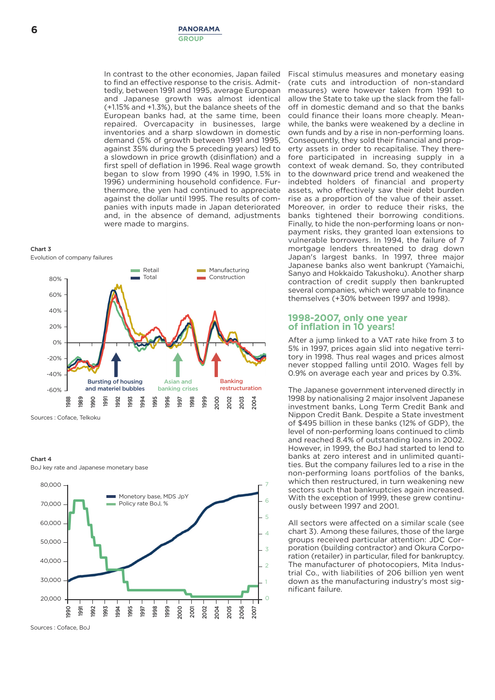In contrast to the other economies, Japan failed to find an effective response to the crisis. Admittedly, between 1991 and 1995, average European and Japanese growth was almost identical (+1.15% and +1.3%), but the balance sheets of the European banks had, at the same time, been repaired. Overcapacity in businesses, large inventories and a sharp slowdown in domestic demand (5% of growth between 1991 and 1995, against 35% during the 5 preceding years) led to a slowdown in price growth (disinflation) and a first spell of deflation in 1996. Real wage growth began to slow from 1990 (4% in 1990, 1.5% in 1996) undermining household confidence. Furthermore, the yen had continued to appreciate against the dollar until 1995. The results of companies with inputs made in Japan deteriorated and, in the absence of demand, adjustments were made to margins.

#### **Chart 3**

Evolution of company failures



Sources : Coface, Telkoku

## **Chart 4**

BoJ key rate and Japanese monetary base



Sources : Coface, BoJ

Fiscal stimulus measures and monetary easing (rate cuts and introduction of non-standard measures) were however taken from 1991 to allow the State to take up the slack from the falloff in domestic demand and so that the banks could finance their loans more cheaply. Meanwhile, the banks were weakened by a decline in own funds and by a rise in non-performing loans. Consequently, they sold their financial and property assets in order to recapitalise. They therefore participated in increasing supply in a context of weak demand. So, they contributed to the downward price trend and weakened the indebted holders of financial and property assets, who effectively saw their debt burden rise as a proportion of the value of their asset. Moreover, in order to reduce their risks, the banks tightened their borrowing conditions. Finally, to hide the non-performing loans or nonpayment risks, they granted loan extensions to vulnerable borrowers. In 1994, the failure of 7 mortgage lenders threatened to drag down Japan's largest banks. In 1997, three major Japanese banks also went bankrupt (Yamaichi, Sanyo and Hokkaido Takushoku). Another sharp contraction of credit supply then bankrupted several companies, which were unable to finance themselves (+30% between 1997 and 1998).

## **1998-2007, only one year of inflation in 10 years!**

After a jump linked to a VAT rate hike from 3 to 5% in 1997, prices again slid into negative territory in 1998. Thus real wages and prices almost never stopped falling until 2010. Wages fell by 0.9% on average each year and prices by 0.3%.

The Japanese government intervened directly in 1998 by nationalising 2 major insolvent Japanese investment banks, Long Term Credit Bank and Nippon Credit Bank. Despite a State investment of \$495 billion in these banks (12% of GDP), the level of non-performing loans continued to climb and reached 8.4% of outstanding loans in 2002. However, in 1999, the BoJ had started to lend to banks at zero interest and in unlimited quantities. But the company failures led to a rise in the non-performing loans portfolios of the banks, which then restructured, in turn weakening new sectors such that bankruptcies again increased. With the exception of 1999, these grew continuously between 1997 and 2001.

All sectors were affected on a similar scale (see chart 3). Among these failures, those of the large groups received particular attention: JDC Corporation (building contractor) and Okura Corporation (retailer) in particular, filed for bankruptcy. The manufacturer of photocopiers, Mita Industrial Co., with liabilities of 206 billion yen went down as the manufacturing industry's most significant failure.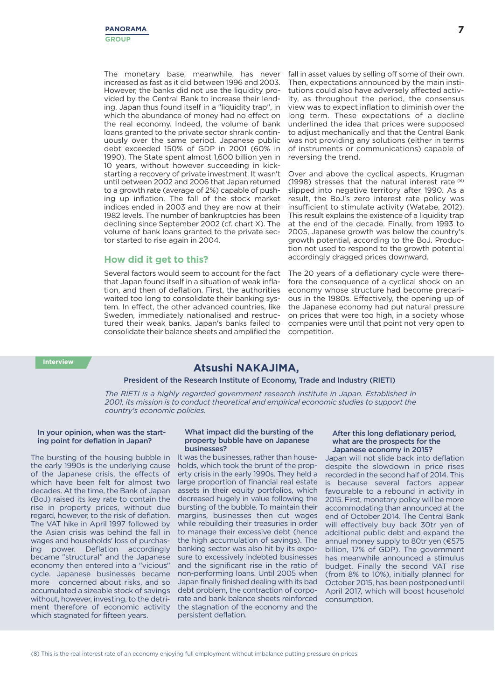The monetary base, meanwhile, has never increased as fast as it did between 1996 and 2003. However, the banks did not use the liquidity provided by the Central Bank to increase their lending. Japan thus found itself in a "liquidity trap", in which the abundance of money had no effect on the real economy. Indeed, the volume of bank loans granted to the private sector shrank continuously over the same period. Japanese public debt exceeded 150% of GDP in 2001 (60% in 1990). The State spent almost 1,600 billion yen in 10 years, without however succeeding in kickstarting a recovery of private investment. It wasn't until between 2002 and 2006 that Japan returned to a growth rate (average of 2%) capable of pushing up inflation. The fall of the stock market indices ended in 2003 and they are now at their 1982 levels. The number of bankruptcies has been declining since September 2002 (cf. chart X). The volume of bank loans granted to the private sector started to rise again in 2004.

## **How did it get to this?**

Several factors would seem to account for the fact that Japan found itself in a situation of weak inflation, and then of deflation. First, the authorities waited too long to consolidate their banking system. In effect, the other advanced countries, like Sweden, immediately nationalised and restructured their weak banks. Japan's banks failed to consolidate their balance sheets and amplified the competition.

fall in asset values by selling off some of their own. Then, expectations announced by the main institutions could also have adversely affected activity, as throughout the period, the consensus view was to expect inflation to diminish over the long term. These expectations of a decline underlined the idea that prices were supposed to adjust mechanically and that the Central Bank was not providing any solutions (either in terms of instruments or communications) capable of reversing the trend.

Over and above the cyclical aspects, Krugman (1998) stresses that the natural interest rate (8) slipped into negative territory after 1990. As a result, the BoJ's zero interest rate policy was insufficient to stimulate activity (Watabe, 2012). This result explains the existence of a liquidity trap at the end of the decade. Finally, from 1993 to 2005, Japanese growth was below the country's growth potential, according to the BoJ. Production not used to respond to the growth potential accordingly dragged prices downward.

The 20 years of a deflationary cycle were therefore the consequence of a cyclical shock on an economy whose structure had become precarious in the 1980s. Effectively, the opening up of the Japanese economy had put natural pressure on prices that were too high, in a society whose companies were until that point not very open to

## **Atsushi NAKAJIMA,**

**President of the Research Institute of Economy, Trade and Industry (RIETI)**

*The RIETI is a highly regarded government research institute in Japan. Established in 2001, its mission is to conduct theoretical and empirical economic studies to support the country's economic policies.*

## **In your opinion, when was the starting point for deflation in Japan?**

The bursting of the housing bubble in the early 1990s is the underlying cause of the Japanese crisis, the effects of which have been felt for almost two decades. At the time, the Bank of Japan (BoJ) raised its key rate to contain the rise in property prices, without due regard, however, to the risk of deflation. The VAT hike in April 1997 followed by the Asian crisis was behind the fall in wages and households' loss of purchasing power. Deflation accordingly became "structural" and the Japanese economy then entered into a "vicious" cycle. Japanese businesses became more concerned about risks, and so accumulated a sizeable stock of savings without, however, investing, to the detriment therefore of economic activity which stagnated for fifteen years.

## **What impact did the bursting of the property bubble have on Japanese businesses?**

It was the businesses, rather than households, which took the brunt of the property crisis in the early 1990s. They held a large proportion of financial real estate assets in their equity portfolios, which decreased hugely in value following the bursting of the bubble. To maintain their margins, businesses then cut wages while rebuilding their treasuries in order to manage their excessive debt (hence the high accumulation of savings). The banking sector was also hit by its exposure to excessively indebted businesses and the significant rise in the ratio of non-performing loans. Until 2005 when Japan finally finished dealing with its bad debt problem, the contraction of corporate and bank balance sheets reinforced the stagnation of the economy and the persistent deflation.

## **After this long deflationary period, what are the prospects for the Japanese economy in 2015?**

Japan will not slide back into deflation despite the slowdown in price rises recorded in the second half of 2014. This is because several factors appear favourable to a rebound in activity in 2015. First, monetary policy will be more accommodating than announced at the end of October 2014. The Central Bank will effectively buy back 30tr yen of additional public debt and expand the annual money supply to 80tr yen (€575 billion, 17% of GDP). The government has meanwhile announced a stimulus budget. Finally the second VAT rise (from 8% to 10%), initially planned for October 2015, has been postponed until April 2017, which will boost household consumption.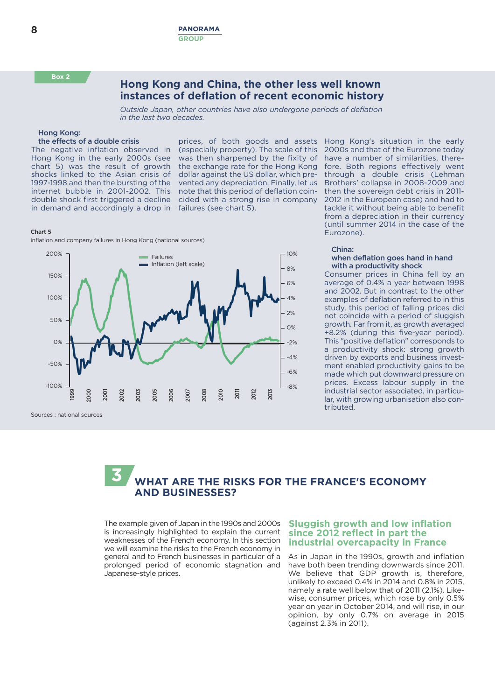**Box 2**

## **Hong Kong and China, the other less well known instances of deflation of recent economic history**

*Outside Japan, other countries have also undergone periods of deflation in the last two decades.*

## **Hong Kong:**

## **the effects of a double crisis**

The negative inflation observed in Hong Kong in the early 2000s (see chart 5) was the result of growth shocks linked to the Asian crisis of 1997-1998 and then the bursting of the internet bubble in 2001-2002. This double shock first triggered a decline in demand and accordingly a drop in

prices, of both goods and assets Hong Kong's situation in the early (especially property). The scale of this was then sharpened by the fixity of the exchange rate for the Hong Kong dollar against the US dollar, which prevented any depreciation. Finally, let us note that this period of deflation coincided with a strong rise in company failures (see chart 5).

**Chart 5**

inflation and company failures in Hong Kong (national sources)



Sources : national sources

2000s and that of the Eurozone today have a number of similarities, therefore. Both regions effectively went through a double crisis (Lehman Brothers' collapse in 2008-2009 and then the sovereign debt crisis in 2011- 2012 in the European case) and had to tackle it without being able to benefit from a depreciation in their currency (until summer 2014 in the case of the Eurozone).

### **China:**

## **when deflation goes hand in hand with a productivity shock**

Consumer prices in China fell by an average of 0.4% a year between 1998 and 2002. But in contrast to the other examples of deflation referred to in this study, this period of falling prices did not coincide with a period of sluggish growth. Far from it, as growth averaged +8.2% (during this five-year period). This "positive deflation" corresponds to a productivity shock: strong growth driven by exports and business investment enabled productivity gains to be made which put downward pressure on prices. Excess labour supply in the industrial sector associated, in particular, with growing urbanisation also contributed.



The example given of Japan in the 1990s and 2000s is increasingly highlighted to explain the current weaknesses of the French economy. In this section we will examine the risks to the French economy in general and to French businesses in particular of a prolonged period of economic stagnation and Japanese-style prices.

## **Sluggish growth and low inflation Sluggish growth and low inflation since 2012 reflect in part the since 2012 reflect in part the industrial overcapacity in France industrial overcapacity in France**

As in Japan in the 1990s, growth and inflation have both been trending downwards since 2011. We believe that GDP growth is, therefore, unlikely to exceed 0.4% in 2014 and 0.8% in 2015, namely a rate well below that of 2011 (2.1%). Likewise, consumer prices, which rose by only 0.5% year on year in October 2014, and will rise, in our opinion, by only 0.7% on average in 2015 (against 2.3% in 2011).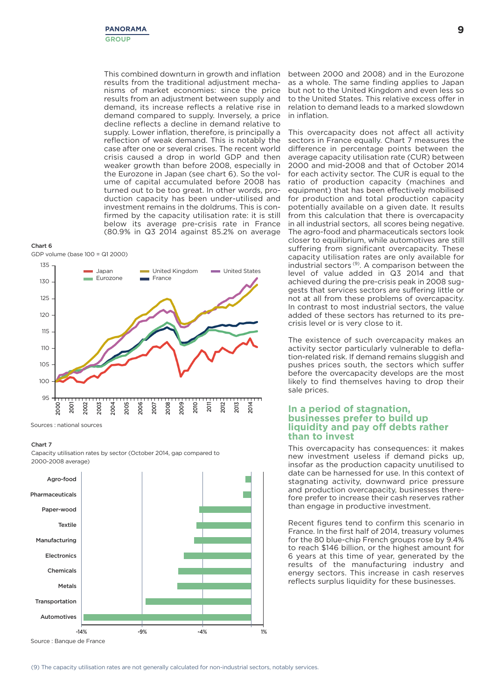This combined downturn in growth and inflation results from the traditional adjustment mechanisms of market economies: since the price results from an adjustment between supply and demand, its increase reflects a relative rise in demand compared to supply. Inversely, a price decline reflects a decline in demand relative to supply. Lower inflation, therefore, is principally a reflection of weak demand. This is notably the case after one or several crises. The recent world crisis caused a drop in world GDP and then weaker growth than before 2008, especially in the Eurozone in Japan (see chart 6). So the volume of capital accumulated before 2008 has turned out to be too great. In other words, production capacity has been under-utilised and investment remains in the doldrums. This is confirmed by the capacity utilisation rate: it is still below its average pre-crisis rate in France (80.9% in Q3 2014 against 85.2% on average

## **Chart 6** GDP volume (base 100 = Q1 2000)



Sources : national sources

### **Chart 7**

Capacity utilisation rates by sector (October 2014, gap compared to 2000-2008 average)



Source : Banque de France

between 2000 and 2008) and in the Eurozone as a whole. The same finding applies to Japan but not to the United Kingdom and even less so to the United States. This relative excess offer in relation to demand leads to a marked slowdown in inflation.

This overcapacity does not affect all activity sectors in France equally. Chart 7 measures the difference in percentage points between the average capacity utilisation rate (CUR) between 2000 and mid-2008 and that of October 2014 for each activity sector. The CUR is equal to the ratio of production capacity (machines and equipment) that has been effectively mobilised for production and total production capacity potentially available on a given date. It results from this calculation that there is overcapacity in all industrial sectors, all scores being negative. The agro-food and pharmaceuticals sectors look closer to equilibrium, while automotives are still suffering from significant overcapacity. These capacity utilisation rates are only available for industrial sectors<sup>(9)</sup>. A comparison between the level of value added in Q3 2014 and that achieved during the pre-crisis peak in 2008 suggests that services sectors are suffering little or not at all from these problems of overcapacity. In contrast to most industrial sectors, the value added of these sectors has returned to its precrisis level or is very close to it.

The existence of such overcapacity makes an activity sector particularly vulnerable to deflation-related risk. If demand remains sluggish and pushes prices south, the sectors which suffer before the overcapacity develops are the most likely to find themselves having to drop their sale prices.

## **In a period of stagnation,<br>businesses prefer to build up<br>liquidity and pay off debts rather than to invest than to investliquidity and pay off debts rather**

This overcapacity has consequences: it makes new investment useless if demand picks up, insofar as the production capacity unutilised to date can be harnessed for use. In this context of stagnating activity, downward price pressure and production overcapacity, businesses therefore prefer to increase their cash reserves rather than engage in productive investment.

Recent figures tend to confirm this scenario in France. In the first half of 2014, treasury volumes for the 80 blue-chip French groups rose by 9.4% to reach \$146 billion, or the highest amount for 6 years at this time of year, generated by the results of the manufacturing industry and energy sectors. This increase in cash reserves reflects surplus liquidity for these businesses.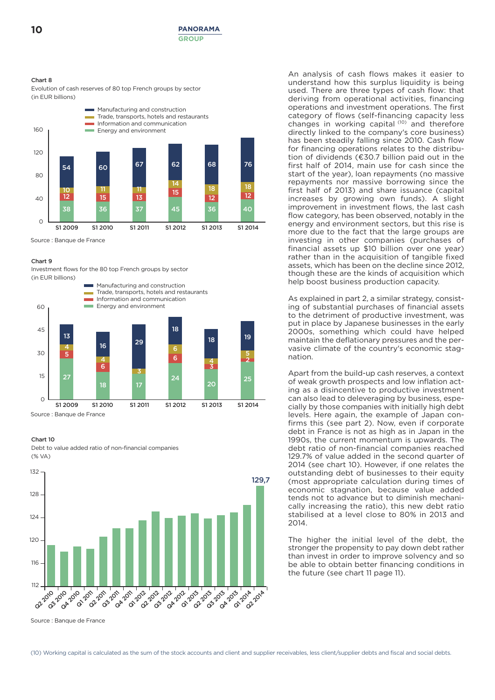## **Chart 8**

Evolution of cash reserves of 80 top French groups by sector (in EUR billions)



Source : Banque de France

## **Chart 9**

Investment flows for the 80 top French groups by sector (in EUR billions)



Source : Banque de France

### **Chart 10**

Debt to value added ratio of non-financial companies  $(% V_A)$ 



Source : Banque de France

An analysis of cash flows makes it easier to understand how this surplus liquidity is being used. There are three types of cash flow: that deriving from operational activities, financing operations and investment operations. The first category of flows (self-financing capacity less changes in working capital (10) and therefore directly linked to the company's core business) has been steadily falling since 2010. Cash flow for financing operations relates to the distribution of dividends ( $€30.7$  billion paid out in the first half of 2014, main use for cash since the start of the year), loan repayments (no massive repayments nor massive borrowing since the first half of 2013) and share issuance (capital increases by growing own funds). A slight improvement in investment flows, the last cash flow category, has been observed, notably in the energy and environment sectors, but this rise is more due to the fact that the large groups are investing in other companies (purchases of financial assets up \$10 billion over one year) rather than in the acquisition of tangible fixed assets, which has been on the decline since 2012, though these are the kinds of acquisition which help boost business production capacity.

As explained in part 2, a similar strategy, consisting of substantial purchases of financial assets to the detriment of productive investment, was put in place by Japanese businesses in the early 2000s, something which could have helped maintain the deflationary pressures and the pervasive climate of the country's economic stagnation.

Apart from the build-up cash reserves, a context of weak growth prospects and low inflation acting as a disincentive to productive investment can also lead to deleveraging by business, especially by those companies with initially high debt levels. Here again, the example of Japan confirms this (see part 2). Now, even if corporate debt in France is not as high as in Japan in the 1990s, the current momentum is upwards. The debt ratio of non-financial companies reached 129.7% of value added in the second quarter of 2014 (see chart 10). However, if one relates the outstanding debt of businesses to their equity (most appropriate calculation during times of economic stagnation, because value added tends not to advance but to diminish mechanically increasing the ratio), this new debt ratio stabilised at a level close to 80% in 2013 and 2014.

The higher the initial level of the debt, the stronger the propensity to pay down debt rather than invest in order to improve solvency and so be able to obtain better financing conditions in the future (see chart 11 page 11).

(10) Working capital is calculated as the sum of the stock accounts and client and supplier receivables, less client/supplier debts and fiscal and social debts.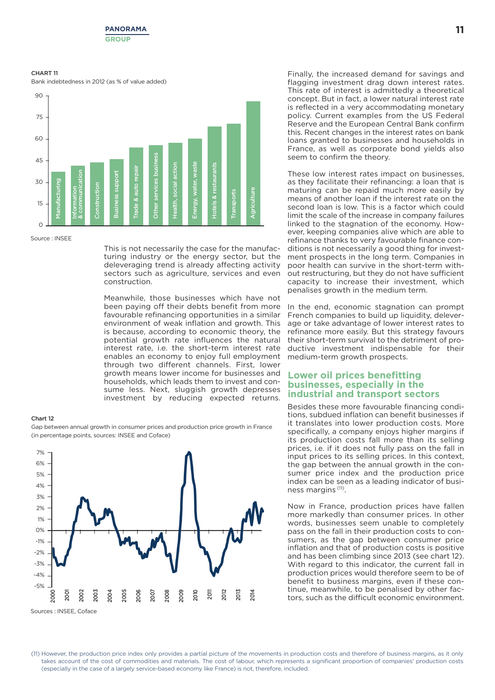

#### **CHART 11**

Bank indebtedness in 2012 (as % of value added)



#### Source : INSEE

This is not necessarily the case for the manufacturing industry or the energy sector, but the deleveraging trend is already affecting activity sectors such as agriculture, services and even construction.

Meanwhile, those businesses which have not been paying off their debts benefit from more favourable refinancing opportunities in a similar environment of weak inflation and growth. This is because, according to economic theory, the potential growth rate influences the natural interest rate, i.e. the short-term interest rate enables an economy to enjoy full employment through two different channels. First, lower growth means lower income for businesses and households, which leads them to invest and consume less. Next, sluggish growth depresses investment by reducing expected returns.

### **Chart 12**

Gap between annual growth in consumer prices and production price growth in France (in percentage points, sources: INSEE and Coface)



Finally, the increased demand for savings and flagging investment drag down interest rates. This rate of interest is admittedly a theoretical concept. But in fact, a lower natural interest rate is reflected in a very accommodating monetary policy. Current examples from the US Federal Reserve and the European Central Bank confirm this. Recent changes in the interest rates on bank loans granted to businesses and households in France, as well as corporate bond yields also seem to confirm the theory.

These low interest rates impact on businesses, as they facilitate their refinancing: a loan that is maturing can be repaid much more easily by means of another loan if the interest rate on the second loan is low. This is a factor which could limit the scale of the increase in company failures linked to the stagnation of the economy. However, keeping companies alive which are able to refinance thanks to very favourable finance conditions is not necessarily a good thing for investment prospects in the long term. Companies in poor health can survive in the short-term without restructuring, but they do not have sufficient capacity to increase their investment, which penalises growth in the medium term.

In the end, economic stagnation can prompt French companies to build up liquidity, deleverage or take advantage of lower interest rates to refinance more easily. But this strategy favours their short-term survival to the detriment of productive investment indispensable for their medium-term growth prospects.

## **Lower** oil prices benefitting<br>businesses, especially in the **industrial and transport sectors Lower oil prices benefitting**

Besides these more favourable financing conditions, subdued inflation can benefit businesses if it translates into lower production costs. More specifically, a company enjoys higher margins if its production costs fall more than its selling prices, i.e. if it does not fully pass on the fall in input prices to its selling prices. In this context, the gap between the annual growth in the consumer price index and the production price index can be seen as a leading indicator of business margins (11) .

Now in France, production prices have fallen more markedly than consumer prices. In other words, businesses seem unable to completely pass on the fall in their production costs to consumers, as the gap between consumer price inflation and that of production costs is positive and has been climbing since 2013 (see chart 12). With regard to this indicator, the current fall in production prices would therefore seem to be of benefit to business margins, even if these continue, meanwhile, to be penalised by other factors, such as the difficult economic environment.

(11) However, the production price index only provides a partial picture of the movements in production costs and therefore of business margins, as it only takes account of the cost of commodities and materials. The cost of labour, which represents a significant proportion of companies' production costs (especially in the case of a largely service-based economy like France) is not, therefore, included.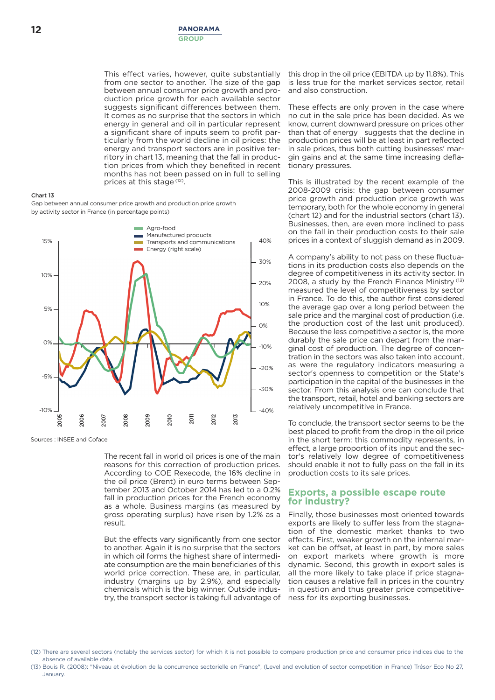This effect varies, however, quite substantially from one sector to another. The size of the gap between annual consumer price growth and production price growth for each available sector suggests significant differences between them. It comes as no surprise that the sectors in which energy in general and oil in particular represent a significant share of inputs seem to profit particularly from the world decline in oil prices: the energy and transport sectors are in positive territory in chart 13, meaning that the fall in production prices from which they benefited in recent months has not been passed on in full to selling prices at this stage (12).

## **Chart 13**

Gap between annual consumer price growth and production price growth by activity sector in France (in percentage points)



Sources : INSEE and Coface

The recent fall in world oil prices is one of the main reasons for this correction of production prices. According to COE Rexecode, the 16% decline in the oil price (Brent) in euro terms between September 2013 and October 2014 has led to a 0.2% fall in production prices for the French economy as a whole. Business margins (as measured by gross operating surplus) have risen by 1.2% as a result.

But the effects vary significantly from one sector to another. Again it is no surprise that the sectors in which oil forms the highest share of intermediate consumption are the main beneficiaries of this world price correction. These are, in particular, industry (margins up by 2.9%), and especially chemicals which is the big winner. Outside industry, the transport sector is taking full advantage of

this drop in the oil price (EBITDA up by 11.8%). This is less true for the market services sector, retail and also construction.

These effects are only proven in the case where no cut in the sale price has been decided. As we know, current downward pressure on prices other than that of energy suggests that the decline in production prices will be at least in part reflected in sale prices, thus both cutting businesses' margin gains and at the same time increasing deflationary pressures.

This is illustrated by the recent example of the 2008-2009 crisis: the gap between consumer price growth and production price growth was temporary, both for the whole economy in general (chart 12) and for the industrial sectors (chart 13). Businesses, then, are even more inclined to pass on the fall in their production costs to their sale prices in a context of sluggish demand as in 2009.

A company's ability to not pass on these fluctuations in its production costs also depends on the degree of competitiveness in its activity sector. In 2008, a study by the French Finance Ministry (13) measured the level of competitiveness by sector in France. To do this, the author first considered the average gap over a long period between the sale price and the marginal cost of production (i.e. the production cost of the last unit produced). Because the less competitive a sector is, the more durably the sale price can depart from the marginal cost of production. The degree of concentration in the sectors was also taken into account, as were the regulatory indicators measuring a sector's openness to competition or the State's participation in the capital of the businesses in the sector. From this analysis one can conclude that the transport, retail, hotel and banking sectors are relatively uncompetitive in France.

To conclude, the transport sector seems to be the best placed to profit from the drop in the oil price in the short term: this commodity represents, in effect, a large proportion of its input and the sector's relatively low degree of competitiveness should enable it not to fully pass on the fall in its production costs to its sale prices.

## **Exports, a possible escape route for industry?**

Finally, those businesses most oriented towards exports are likely to suffer less from the stagnation of the domestic market thanks to two effects. First, weaker growth on the internal market can be offset, at least in part, by more sales on export markets where growth is more dynamic. Second, this growth in export sales is all the more likely to take place if price stagnation causes a relative fall in prices in the country in question and thus greater price competitiveness for its exporting businesses.

- (12) There are several sectors (notably the services sector) for which it is not possible to compare production price and consumer price indices due to the absence of available data.
- (13) Bouis R. (2008): "Niveau et évolution de la concurrence sectorielle en France", (Level and evolution of sector competition in France) Trésor Eco No 27, January.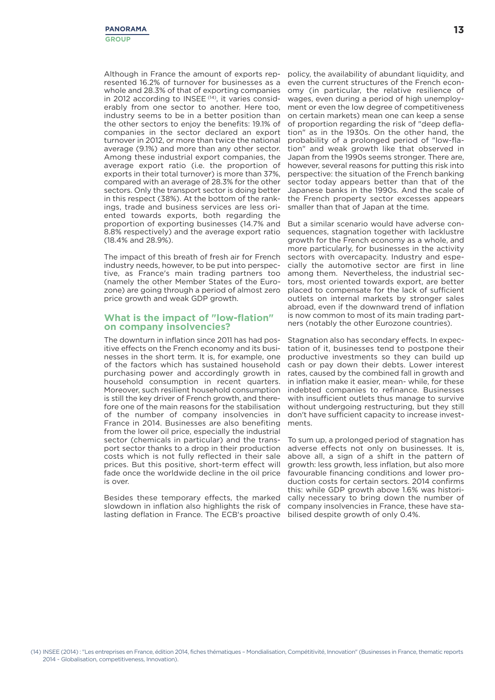Although in France the amount of exports represented 16.2% of turnover for businesses as a whole and 28.3% of that of exporting companies in 2012 according to INSEE<sup>(14)</sup>, it varies considerably from one sector to another. Here too, industry seems to be in a better position than the other sectors to enjoy the benefits: 19.1% of companies in the sector declared an export turnover in 2012, or more than twice the national average (9.1%) and more than any other sector. Among these industrial export companies, the average export ratio (i.e. the proportion of exports in their total turnover) is more than 37%, compared with an average of 28.3% for the other sectors. Only the transport sector is doing better in this respect (38%). At the bottom of the rankings, trade and business services are less oriented towards exports, both regarding the proportion of exporting businesses (14.7% and 8.8% respectively) and the average export ratio (18.4% and 28.9%).

The impact of this breath of fresh air for French industry needs, however, to be put into perspective, as France's main trading partners too (namely the other Member States of the Eurozone) are going through a period of almost zero price growth and weak GDP growth.

## **What is the impact of "low-flation" on company insolvencies?**

The downturn in inflation since 2011 has had positive effects on the French economy and its businesses in the short term. It is, for example, one of the factors which has sustained household purchasing power and accordingly growth in household consumption in recent quarters. Moreover, such resilient household consumption is still the key driver of French growth, and therefore one of the main reasons for the stabilisation of the number of company insolvencies in France in 2014. Businesses are also benefiting from the lower oil price, especially the industrial sector (chemicals in particular) and the transport sector thanks to a drop in their production costs which is not fully reflected in their sale prices. But this positive, short-term effect will fade once the worldwide decline in the oil price is over.

Besides these temporary effects, the marked slowdown in inflation also highlights the risk of lasting deflation in France. The ECB's proactive bilised despite growth of only 0.4%.

policy, the availability of abundant liquidity, and even the current structures of the French economy (in particular, the relative resilience of wages, even during a period of high unemployment or even the low degree of competitiveness on certain markets) mean one can keep a sense of proportion regarding the risk of "deep deflation" as in the 1930s. On the other hand, the probability of a prolonged period of "low-flation" and weak growth like that observed in Japan from the 1990s seems stronger. There are, however, several reasons for putting this risk into perspective: the situation of the French banking sector today appears better than that of the Japanese banks in the 1990s. And the scale of the French property sector excesses appears smaller than that of Japan at the time.

But a similar scenario would have adverse consequences, stagnation together with lacklustre growth for the French economy as a whole, and more particularly, for businesses in the activity sectors with overcapacity. Industry and especially the automotive sector are first in line among them. Nevertheless, the industrial sectors, most oriented towards export, are better placed to compensate for the lack of sufficient outlets on internal markets by stronger sales abroad, even if the downward trend of inflation is now common to most of its main trading partners (notably the other Eurozone countries).

Stagnation also has secondary effects. In expectation of it, businesses tend to postpone their productive investments so they can build up cash or pay down their debts. Lower interest rates, caused by the combined fall in growth and in inflation make it easier, mean- while, for these indebted companies to refinance. Businesses with insufficient outlets thus manage to survive without undergoing restructuring, but they still don't have sufficient capacity to increase investments.

To sum up, a prolonged period of stagnation has adverse effects not only on businesses. It is, above all, a sign of a shift in the pattern of growth: less growth, less inflation, but also more favourable financing conditions and lower production costs for certain sectors. 2014 confirms this: while GDP growth above 1.6% was historically necessary to bring down the number of company insolvencies in France, these have sta-